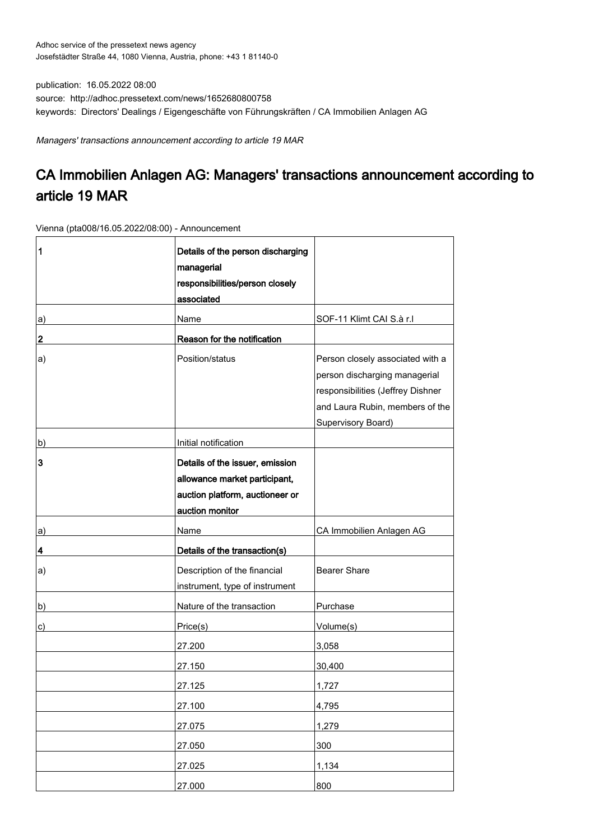publication: 16.05.2022 08:00 source: http://adhoc.pressetext.com/news/1652680800758 keywords: Directors' Dealings / Eigengeschäfte von Führungskräften / CA Immobilien Anlagen AG

Managers' transactions announcement according to article 19 MAR

## CA Immobilien Anlagen AG: Managers' transactions announcement according to article 19 MAR

Vienna (pta008/16.05.2022/08:00) - Announcement

| 1  | Details of the person discharging<br>managerial<br>responsibilities/person closely<br>associated                       |                                                                                                                                                                        |
|----|------------------------------------------------------------------------------------------------------------------------|------------------------------------------------------------------------------------------------------------------------------------------------------------------------|
| a) | Name                                                                                                                   | SOF-11 Klimt CAI S.à r.l                                                                                                                                               |
| 2  | Reason for the notification                                                                                            |                                                                                                                                                                        |
| a) | Position/status                                                                                                        | Person closely associated with a<br>person discharging managerial<br>responsibilities (Jeffrey Dishner<br>and Laura Rubin, members of the<br><b>Supervisory Board)</b> |
| b) | Initial notification                                                                                                   |                                                                                                                                                                        |
| 3  | Details of the issuer, emission<br>allowance market participant,<br>auction platform, auctioneer or<br>auction monitor |                                                                                                                                                                        |
| a) | Name                                                                                                                   | CA Immobilien Anlagen AG                                                                                                                                               |
| 4  | Details of the transaction(s)                                                                                          |                                                                                                                                                                        |
| a) | Description of the financial<br>instrument, type of instrument                                                         | <b>Bearer Share</b>                                                                                                                                                    |
| b) | Nature of the transaction                                                                                              | Purchase                                                                                                                                                               |
| c) | Price(s)                                                                                                               | Volume(s)                                                                                                                                                              |
|    | 27.200                                                                                                                 | 3,058                                                                                                                                                                  |
|    | 27.150                                                                                                                 | 30,400                                                                                                                                                                 |
|    | 27.125                                                                                                                 | 1,727                                                                                                                                                                  |
|    | 27.100                                                                                                                 | 4,795                                                                                                                                                                  |
|    | 27.075                                                                                                                 | 1,279                                                                                                                                                                  |
|    | 27.050                                                                                                                 | 300                                                                                                                                                                    |
|    | 27.025                                                                                                                 | 1,134                                                                                                                                                                  |
|    | 27.000                                                                                                                 | 800                                                                                                                                                                    |